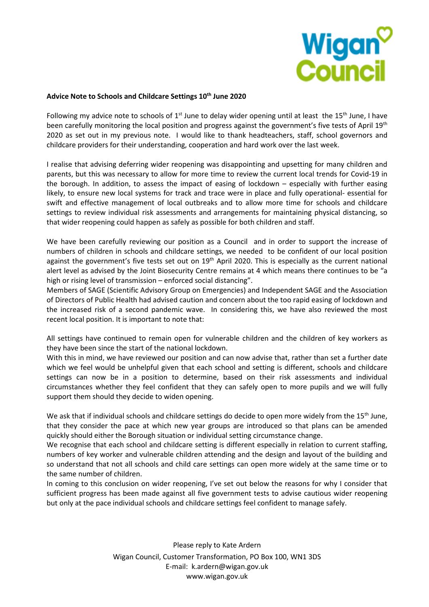

#### **Advice Note to Schools and Childcare Settings 10th June 2020**

Following my advice note to schools of  $1<sup>st</sup>$  June to delay wider opening until at least the 15<sup>th</sup> June, I have been carefully monitoring the local position and progress against the government's five tests of April 19<sup>th</sup> 2020 as set out in my previous note. I would like to thank headteachers, staff, school governors and childcare providers for their understanding, cooperation and hard work over the last week.

I realise that advising deferring wider reopening was disappointing and upsetting for many children and parents, but this was necessary to allow for more time to review the current local trends for Covid-19 in the borough. In addition, to assess the impact of easing of lockdown – especially with further easing likely, to ensure new local systems for track and trace were in place and fully operational- essential for swift and effective management of local outbreaks and to allow more time for schools and childcare settings to review individual risk assessments and arrangements for maintaining physical distancing, so that wider reopening could happen as safely as possible for both children and staff.

We have been carefully reviewing our position as a Council and in order to support the increase of numbers of children in schools and childcare settings, we needed to be confident of our local position against the government's five tests set out on 19<sup>th</sup> April 2020. This is especially as the current national alert level as advised by the Joint Biosecurity Centre remains at 4 which means there continues to be "a high or rising level of transmission – enforced social distancing".

Members of SAGE (Scientific Advisory Group on Emergencies) and Independent SAGE and the Association of Directors of Public Health had advised caution and concern about the too rapid easing of lockdown and the increased risk of a second pandemic wave. In considering this, we have also reviewed the most recent local position. It is important to note that:

All settings have continued to remain open for vulnerable children and the children of key workers as they have been since the start of the national lockdown.

With this in mind, we have reviewed our position and can now advise that, rather than set a further date which we feel would be unhelpful given that each school and setting is different, schools and childcare settings can now be in a position to determine, based on their risk assessments and individual circumstances whether they feel confident that they can safely open to more pupils and we will fully support them should they decide to widen opening.

We ask that if individual schools and childcare settings do decide to open more widely from the 15<sup>th</sup> June, that they consider the pace at which new year groups are introduced so that plans can be amended quickly should either the Borough situation or individual setting circumstance change.

We recognise that each school and childcare setting is different especially in relation to current staffing, numbers of key worker and vulnerable children attending and the design and layout of the building and so understand that not all schools and child care settings can open more widely at the same time or to the same number of children.

In coming to this conclusion on wider reopening, I've set out below the reasons for why I consider that sufficient progress has been made against all five government tests to advise cautious wider reopening but only at the pace individual schools and childcare settings feel confident to manage safely.

> Please reply to Kate Ardern Wigan Council, Customer Transformation, PO Box 100, WN1 3DS E-mail: k.ardern@wigan.gov.uk www.wigan.gov.uk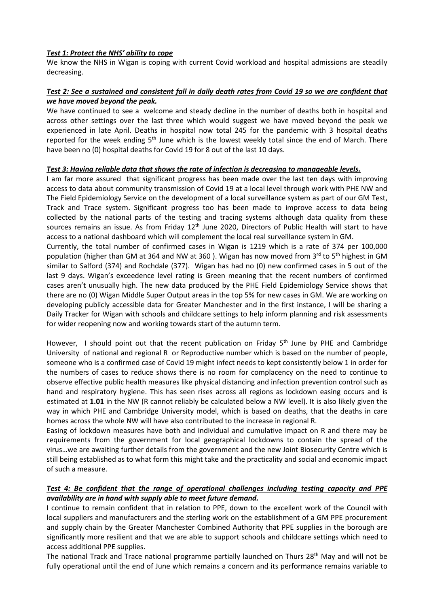### *Test 1: Protect the NHS' ability to cope*

We know the NHS in Wigan is coping with current Covid workload and hospital admissions are steadily decreasing.

# *Test 2: See a sustained and consistent fall in daily death rates from Covid 19 so we are confident that we have moved beyond the peak.*

We have continued to see a welcome and steady decline in the number of deaths both in hospital and across other settings over the last three which would suggest we have moved beyond the peak we experienced in late April. Deaths in hospital now total 245 for the pandemic with 3 hospital deaths reported for the week ending 5<sup>th</sup> June which is the lowest weekly total since the end of March. There have been no (0) hospital deaths for Covid 19 for 8 out of the last 10 days.

### *Test 3: Having reliable data that shows the rate of infection is decreasing to manageable levels.*

I am far more assured that significant progress has been made over the last ten days with improving access to data about community transmission of Covid 19 at a local level through work with PHE NW and The Field Epidemiology Service on the development of a local surveillance system as part of our GM Test, Track and Trace system. Significant progress too has been made to improve access to data being collected by the national parts of the testing and tracing systems although data quality from these sources remains an issue. As from Friday 12<sup>th</sup> June 2020, Directors of Public Health will start to have access to a national dashboard which will complement the local real surveillance system in GM.

Currently, the total number of confirmed cases in Wigan is 1219 which is a rate of 374 per 100,000 population (higher than GM at 364 and NW at 360). Wigan has now moved from 3<sup>rd</sup> to 5<sup>th</sup> highest in GM similar to Salford (374) and Rochdale (377). Wigan has had no (0) new confirmed cases in 5 out of the last 9 days. Wigan's exceedence level rating is Green meaning that the recent numbers of confirmed cases aren't unusually high. The new data produced by the PHE Field Epidemiology Service shows that there are no (0) Wigan Middle Super Output areas in the top 5% for new cases in GM. We are working on developing publicly accessible data for Greater Manchester and in the first instance, I will be sharing a Daily Tracker for Wigan with schools and childcare settings to help inform planning and risk assessments for wider reopening now and working towards start of the autumn term.

However, I should point out that the recent publication on Friday 5<sup>th</sup> June by PHE and Cambridge University of national and regional R or Reproductive number which is based on the number of people, someone who is a confirmed case of Covid 19 might infect needs to kept consistently below 1 in order for the numbers of cases to reduce shows there is no room for complacency on the need to continue to observe effective public health measures like physical distancing and infection prevention control such as hand and respiratory hygiene. This has seen rises across all regions as lockdown easing occurs and is estimated at **1.01** in the NW (R cannot reliably be calculated below a NW level). It is also likely given the way in which PHE and Cambridge University model, which is based on deaths, that the deaths in care homes across the whole NW will have also contributed to the increase in regional R.

Easing of lockdown measures have both and individual and cumulative impact on R and there may be requirements from the government for local geographical lockdowns to contain the spread of the virus…we are awaiting further details from the government and the new Joint Biosecurity Centre which is still being established as to what form this might take and the practicality and social and economic impact of such a measure.

# *Test 4: Be confident that the range of operational challenges including testing capacity and PPE availability are in hand with supply able to meet future demand.*

I continue to remain confident that in relation to PPE, down to the excellent work of the Council with local suppliers and manufacturers and the sterling work on the establishment of a GM PPE procurement and supply chain by the Greater Manchester Combined Authority that PPE supplies in the borough are significantly more resilient and that we are able to support schools and childcare settings which need to access additional PPE supplies.

The national Track and Trace national programme partially launched on Thurs 28<sup>th</sup> May and will not be fully operational until the end of June which remains a concern and its performance remains variable to